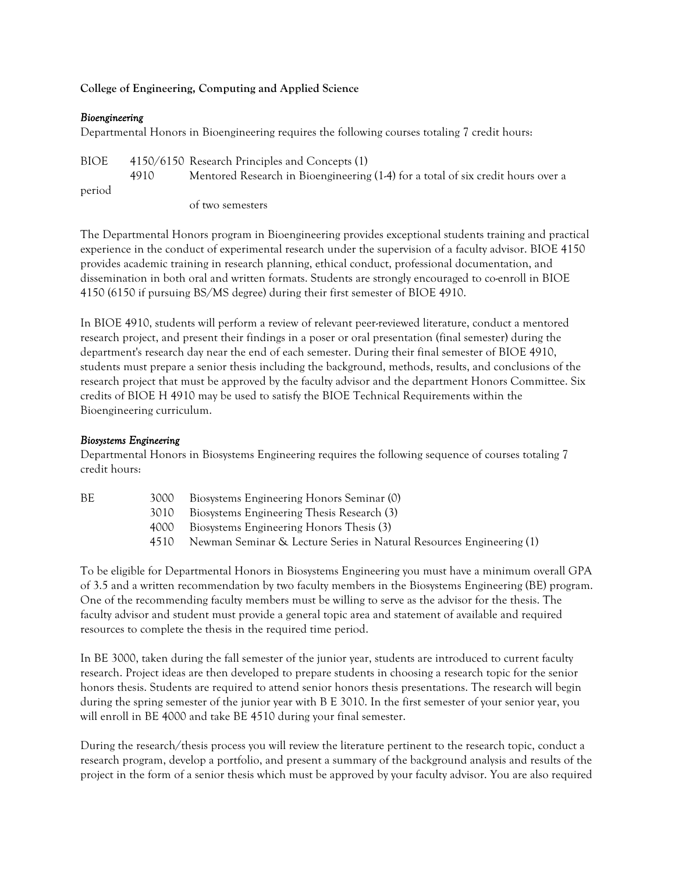# **College of Engineering, Computing and Applied Science**

## *Bioengineering*

Departmental Honors in Bioengineering requires the following courses totaling 7 credit hours:

BIOE 4150/6150 Research Principles and Concepts (1) 4910 Mentored Research in Bioengineering (1-4) for a total of six credit hours over a period

of two semesters

The Departmental Honors program in Bioengineering provides exceptional students training and practical experience in the conduct of experimental research under the supervision of a faculty advisor. BIOE 4150 provides academic training in research planning, ethical conduct, professional documentation, and dissemination in both oral and written formats. Students are strongly encouraged to co-enroll in BIOE 4150 (6150 if pursuing BS/MS degree) during their first semester of BIOE 4910.

In BIOE 4910, students will perform a review of relevant peer-reviewed literature, conduct a mentored research project, and present their findings in a poser or oral presentation (final semester) during the department's research day near the end of each semester. During their final semester of BIOE 4910, students must prepare a senior thesis including the background, methods, results, and conclusions of the research project that must be approved by the faculty advisor and the department Honors Committee. Six credits of BIOE H 4910 may be used to satisfy the BIOE Technical Requirements within the Bioengineering curriculum.

# *Biosystems Engineering*

Departmental Honors in Biosystems Engineering requires the following sequence of courses totaling 7 credit hours:

| ВE | 3000 | Biosystems Engineering Honors Seminar (0) |  |
|----|------|-------------------------------------------|--|
|    |      |                                           |  |
|    |      |                                           |  |

- 3010 Biosystems Engineering Thesis Research (3)
- 4000 Biosystems Engineering Honors Thesis (3)
- 4510 Newman Seminar & Lecture Series in Natural Resources Engineering (1)

To be eligible for Departmental Honors in Biosystems Engineering you must have a minimum overall GPA of 3.5and a written recommendation by two faculty members in the Biosystems Engineering (BE) program. One of the recommending faculty members must be willing to serve as the advisor for the thesis. The faculty advisor and student must provide a general topic area and statement of available and required resources to complete the thesis in the required time period.

In BE 3000, taken during the fall semester of the junior year, students are introduced to current faculty research. Project ideas are then developed to prepare students in choosing a research topic for the senior honors thesis. Students are required to attend senior honors thesis presentations. The research will begin during the spring semester of the junior year with B E 3010. In the first semester of your senior year, you will enroll in BE 4000 and take BE 4510 during your final semester.

During the research/thesis process you will review the literature pertinent to the research topic, conduct a research program, develop a portfolio, and present a summary of the background analysis and results of the project in the form of a senior thesis which must be approved by your faculty advisor. You are also required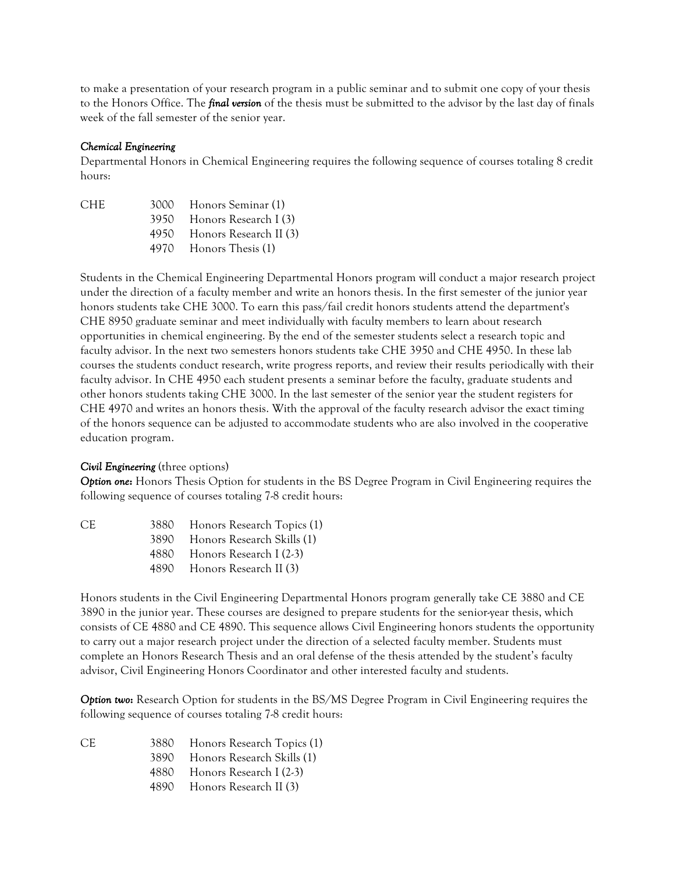to make a presentation of your research program in a public seminar and to submit one copy of your thesis to the Honors Office. The *final version* of the thesis must be submitted to the advisor by the last day of finals week of the fall semester of the senior year.

#### *Chemical Engineering*

Departmental Honors in Chemical Engineering requires the following sequence of courses totaling 8 credit hours:

| CHE- | 3000 Honors Seminar (1)     |
|------|-----------------------------|
|      | 3950 Honors Research I (3)  |
|      | 4950 Honors Research II (3) |
|      | 4970 Honors Thesis (1)      |
|      |                             |

Students in the Chemical Engineering Departmental Honors program will conduct a major research project under the direction of a faculty member and write an honors thesis. In the first semester of the junior year honors students take CHE 3000. To earn this pass/fail credit honors students attend the department's CHE 8950 graduate seminar and meet individually with faculty members to learn about research opportunities in chemical engineering. By the end of the semester students select a research topic and faculty advisor. In the next two semesters honors students take CHE 3950 and CHE 4950. In these lab courses the students conduct research, write progress reports, and review their results periodically with their faculty advisor. In CHE 4950 each student presents a seminar before the faculty, graduate students and other honors students taking CHE 3000. In the last semester of the senior year the student registers for CHE 4970 and writes an honors thesis. With the approval of the faculty research advisor the exact timing of the honors sequence can be adjusted to accommodate students who are also involved in the cooperative education program.

#### *Civil Engineering* (three options)

*Option one***:** Honors Thesis Option for students in the BS Degree Program in Civil Engineering requires the following sequence of courses totaling 7-8 credit hours:

|   | ć  |   |  |
|---|----|---|--|
| ٠ | ۰, | i |  |
|   |    |   |  |
|   |    |   |  |

| 3880 | Honors Research Topics (1) |
|------|----------------------------|
| 3890 | Honors Research Skills (1) |
| 4880 | Honors Research I (2-3)    |
| 4890 | Honors Research II (3)     |

Honors students in the Civil Engineering Departmental Honors program generally take CE 3880 and CE 3890 in the junior year. These courses are designed to prepare students for the senior-year thesis, which consists of CE 4880 and CE 4890. This sequence allows Civil Engineering honors students the opportunity to carry out a major research project under the direction of a selected faculty member. Students must complete an Honors Research Thesis and an oral defense of the thesis attended by the student's faculty advisor, Civil Engineering Honors Coordinator and other interested faculty and students.

*Option two***:** Research Option for students in the BS/MS Degree Program in Civil Engineering requires the following sequence of courses totaling 7-8 credit hours:

CE 3880 Honors Research Topics (1) 3890 Honors Research Skills (1) 4880 Honors Research I (2-3) 4890 Honors Research II (3)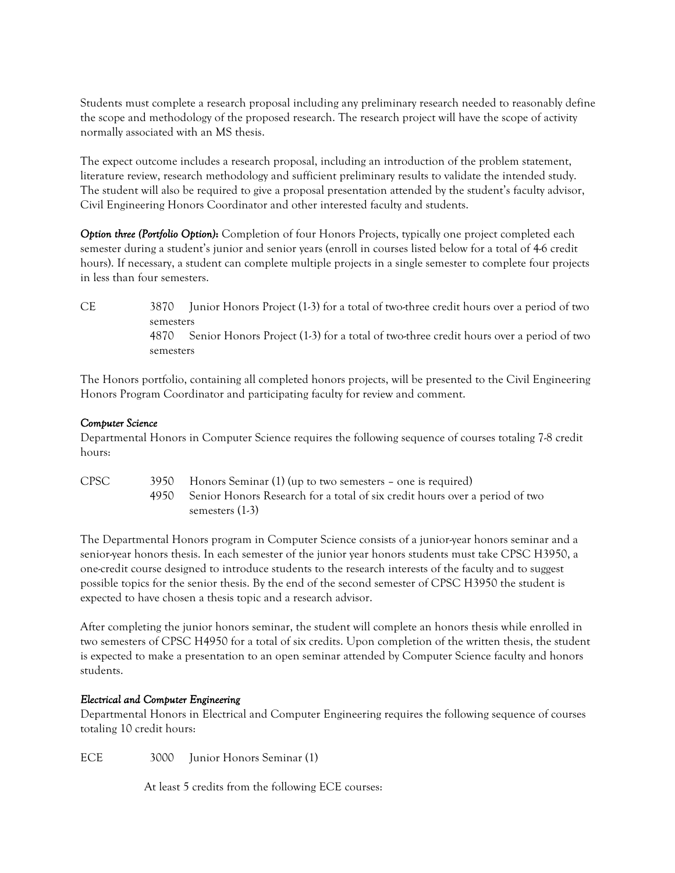Students must complete a research proposal including any preliminary research needed to reasonably define the scope and methodology of the proposed research. The research project will have the scope of activity normally associated with an MS thesis.

The expect outcome includes a research proposal, including an introduction of the problem statement, literature review, research methodology and sufficient preliminary results to validate the intended study. The student will also be required to give a proposal presentation attended by the student's faculty advisor, Civil Engineering Honors Coordinator and other interested faculty and students.

*Option three (Portfolio Option)***:** Completion of four Honors Projects, typically one project completed each semester during a student's junior and senior years (enroll in courses listed below for a total of 4-6 credit hours). If necessary, a student can complete multiple projects in a single semester to complete four projects in less than four semesters.

CE 3870 Junior Honors Project (1-3) for a total of two-three credit hours over a period of two semesters 4870 Senior Honors Project (1-3) for a total of two-three credit hours over a period of two semesters

The Honors portfolio, containing all completed honors projects, will be presented to the Civil Engineering Honors Program Coordinator and participating faculty for review and comment.

## *Computer Science*

Departmental Honors in Computer Science requires the following sequence of courses totaling 7-8 credit hours:

| CPSC | 3950 | Honors Seminar (1) (up to two semesters – one is required)                       |
|------|------|----------------------------------------------------------------------------------|
|      |      | 4950 Senior Honors Research for a total of six credit hours over a period of two |
|      |      | semesters (1-3)                                                                  |

The Departmental Honors program in Computer Science consists of a junior-year honors seminar and a senior-year honors thesis. In each semester of the junior year honors students must take CPSC H3950, a one-credit course designed to introduce students to the research interests of the faculty and to suggest possible topics for the senior thesis. By the end of the second semester of CPSC H3950 the student is expected to have chosen a thesis topic and a research advisor.

After completing the junior honors seminar, the student will complete an honors thesis while enrolled in two semesters of CPSC H4950 for a total of six credits. Upon completion of the written thesis, the student is expected to make a presentation to an open seminar attended by Computer Science faculty and honors students.

# *Electrical and Computer Engineering*

Departmental Honors in Electrical and Computer Engineering requires the following sequence of courses totaling 10 credit hours:

ECE 3000 Junior Honors Seminar (1)

At least 5 credits from the following ECE courses: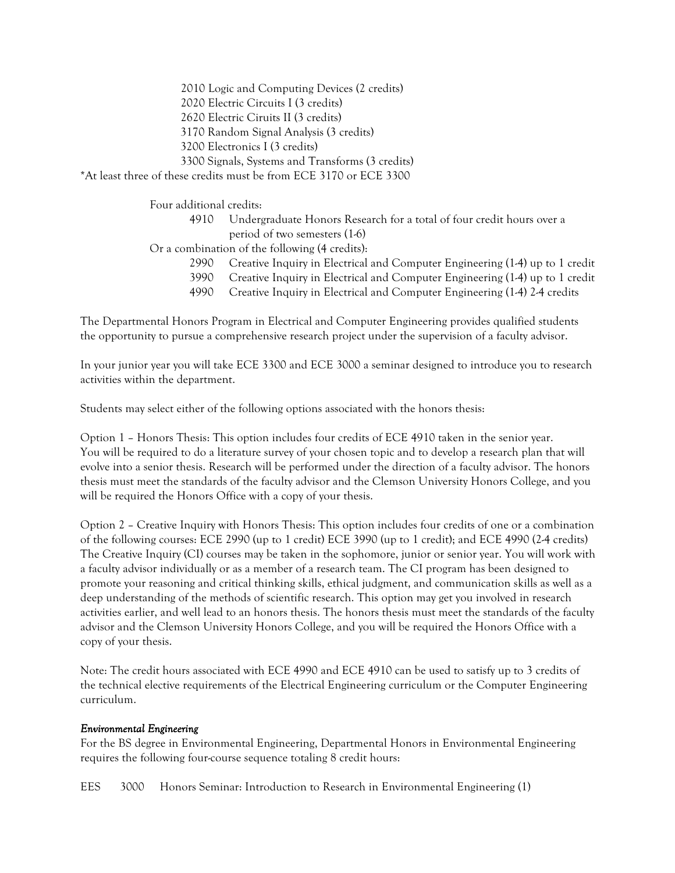2010 Logic and Computing Devices (2 credits) 2020 Electric Circuits I (3 credits) 2620 Electric Ciruits II (3 credits) 3170 Random Signal Analysis (3 credits) 3200 Electronics I (3 credits) 3300 Signals, Systems and Transforms (3 credits) \*At least three of these credits must be from ECE 3170 or ECE 3300

Four additional credits:

- 4910 Undergraduate Honors Research for a total of four credit hours over a period of two semesters (1-6)
- Or a combination of the following (4 credits):
	- 2990 Creative Inquiry in Electrical and Computer Engineering (1-4) up to 1 credit
	- 3990 Creative Inquiry in Electrical and Computer Engineering (1-4) up to 1 credit
	- 4990 Creative Inquiry in Electrical and Computer Engineering (1-4) 2-4 credits

The Departmental Honors Program in Electrical and Computer Engineering provides qualified students the opportunity to pursue a comprehensive research project under the supervision of a faculty advisor.

In your junior year you will take ECE 3300 and ECE 3000 a seminar designed to introduce you to research activities within the department.

Students may select either of the following options associated with the honors thesis:

Option 1 – Honors Thesis: This option includes four credits of ECE 4910 taken in the senior year. You will be required to do a literature survey of your chosen topic and to develop a research plan that will evolve into a senior thesis. Research will be performed under the direction of a faculty advisor. The honors thesis must meet the standards of the faculty advisor and the Clemson University Honors College, and you will be required the Honors Office with a copy of your thesis.

Option 2 – Creative Inquiry with Honors Thesis: This option includes four credits of one or a combination of the following courses: ECE 2990 (up to 1 credit) ECE 3990 (up to 1 credit); and ECE 4990 (2-4 credits) The Creative Inquiry (CI) courses may be taken in the sophomore, junior or senior year. You will work with a faculty advisor individually or as a member of a research team. The CI program has been designed to promote your reasoning and critical thinking skills, ethical judgment, and communication skills as well as a deep understanding of the methods of scientific research. This option may get you involved in research activities earlier, and well lead to an honors thesis. The honors thesis must meet the standards of the faculty advisor and the Clemson University Honors College, and you will be required the Honors Office with a copy of your thesis.

Note: The credit hours associated with ECE 4990 and ECE 4910 can be used to satisfy up to 3 credits of the technical elective requirements of the Electrical Engineering curriculum or the Computer Engineering curriculum.

#### *Environmental Engineering*

For the BS degree in Environmental Engineering, Departmental Honors in Environmental Engineering requires the following four-course sequence totaling 8 credit hours:

EES 3000 Honors Seminar: Introduction to Research in Environmental Engineering (1)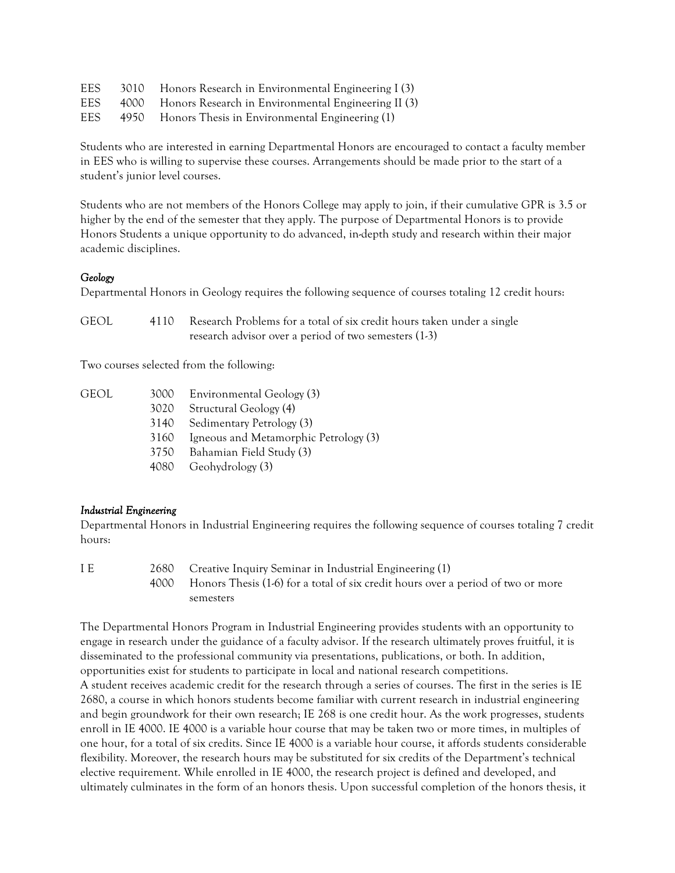| <b>EES</b> | 3010 | Honors Research in Environmental Engineering I (3)       |
|------------|------|----------------------------------------------------------|
| <b>EES</b> |      | 4000 Honors Research in Environmental Engineering II (3) |
| EES        |      | 4950 Honors Thesis in Environmental Engineering (1)      |

Students who are interested in earning Departmental Honors are encouraged to contact a faculty member in EES who is willing to supervise these courses. Arrangements should be made prior to the start of a student's junior level courses.

Students who are not members of the Honors College may apply to join, if their cumulative GPR is 3.5 or higher by the end of the semester that they apply. The purpose of Departmental Honors is to provide Honors Students a unique opportunity to do advanced, in-depth study and research within their major academic disciplines.

## *Geology*

Departmental Honors in Geology requires the following sequence of courses totaling 12 credit hours:

| <b>GEOL</b> | 4110 Research Problems for a total of six credit hours taken under a single |
|-------------|-----------------------------------------------------------------------------|
|             | research advisor over a period of two semesters (1-3)                       |

Two courses selected from the following:

| geol | 3000 | Environmental Geology (3)             |
|------|------|---------------------------------------|
|      | 3020 | Structural Geology (4)                |
|      | 3140 | Sedimentary Petrology (3)             |
|      | 3160 | Igneous and Metamorphic Petrology (3) |
|      | 3750 | Bahamian Field Study (3)              |
|      |      | 4080 Geohydrology (3)                 |
|      |      |                                       |

# *Industrial Engineering*

Departmental Honors in Industrial Engineering requires the following sequence of courses totaling 7 credit hours:

I E 2680 Creative Inquiry Seminar in Industrial Engineering (1) 4000 Honors Thesis (1-6) for a total of six credit hours over a period of two or more semesters

The Departmental Honors Program in Industrial Engineering provides students with an opportunity to engage in research under the guidance of a faculty advisor. If the research ultimately proves fruitful, it is disseminated to the professional community via presentations, publications, or both. In addition, opportunities exist for students to participate in local and national research competitions. A student receives academic credit for the research through a series of courses. The first in the series is IE 2680, a course in which honors students become familiar with current research in industrial engineering and begin groundwork for their own research; IE 268 is one credit hour. As the work progresses, students enroll in IE 4000. IE 4000 is a variable hour course that may be taken two or more times, in multiples of one hour, for a total of six credits. Since IE 4000 is a variable hour course, it affords students considerable flexibility. Moreover, the research hours may be substituted for six credits of the Department's technical elective requirement. While enrolled in IE 4000, the research project is defined and developed, and ultimately culminates in the form of an honors thesis. Upon successful completion of the honors thesis, it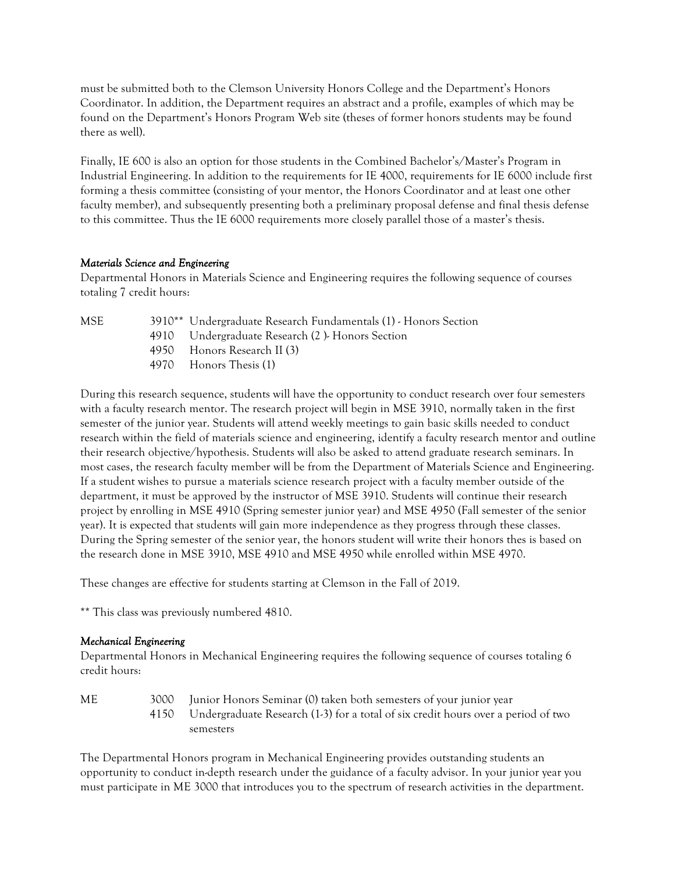must be submitted both to the Clemson University Honors College and the Department's Honors Coordinator. In addition, the Department requires an abstract and a profile, examples of which may be found on the Department's Honors Program Web site (theses of former honors students may be found there as well).

Finally, IE 600 is also an option for those students in the Combined Bachelor's/Master's Program in Industrial Engineering. In addition to the requirements for IE 4000, requirements for IE 6000 include first forming a thesis committee (consisting of your mentor, the Honors Coordinator and at least one other faculty member), and subsequently presenting both a preliminary proposal defense and final thesis defense to this committee. Thus the IE 6000 requirements more closely parallel those of a master's thesis.

## *Materials Science and Engineering*

Departmental Honors in Materials Science and Engineering requires the following sequence of courses totaling 7 credit hours:

MSE 3910\*\* Undergraduate Research Fundamentals (1) - Honors Section 4910 Undergraduate Research (2 )- Honors Section 4950 Honors Research II (3) 4970 Honors Thesis (1)

During this research sequence, students will have the opportunity to conduct research over four semesters with a faculty research mentor. The research project will begin in MSE 3910, normally taken in the first semester of the junior year. Students will attend weekly meetings to gain basic skills needed to conduct research within the field of materials science and engineering, identify a faculty research mentor and outline their research objective/hypothesis. Students will also be asked to attend graduate research seminars. In most cases, the research faculty member will be from the Department of Materials Science and Engineering. If a student wishes to pursue a materials science research project with a faculty member outside of the department, it must be approved by the instructor of MSE 3910. Students will continue their research project by enrolling in MSE 4910 (Spring semester junior year) and MSE 4950 (Fall semester of the senior year). It is expected that students will gain more independence as they progress through these classes. During the Spring semester of the senior year, the honors student will write their honors thes is based on the research done in MSE 3910, MSE 4910 and MSE 4950 while enrolled within MSE 4970.

These changes are effective for students starting at Clemson in the Fall of 2019.

\*\* This class was previously numbered 4810.

#### *Mechanical Engineering*

Departmental Honors in Mechanical Engineering requires the following sequence of courses totaling 6 credit hours:

ME 3000 Junior Honors Seminar (0) taken both semesters of your junior year 4150 Undergraduate Research (1-3) for a total of six credit hours over a period of two semesters

The Departmental Honors program in Mechanical Engineering provides outstanding students an opportunity to conduct in-depth research under the guidance of a faculty advisor. In your junior year you must participate in ME 3000 that introduces you to the spectrum of research activities in the department.